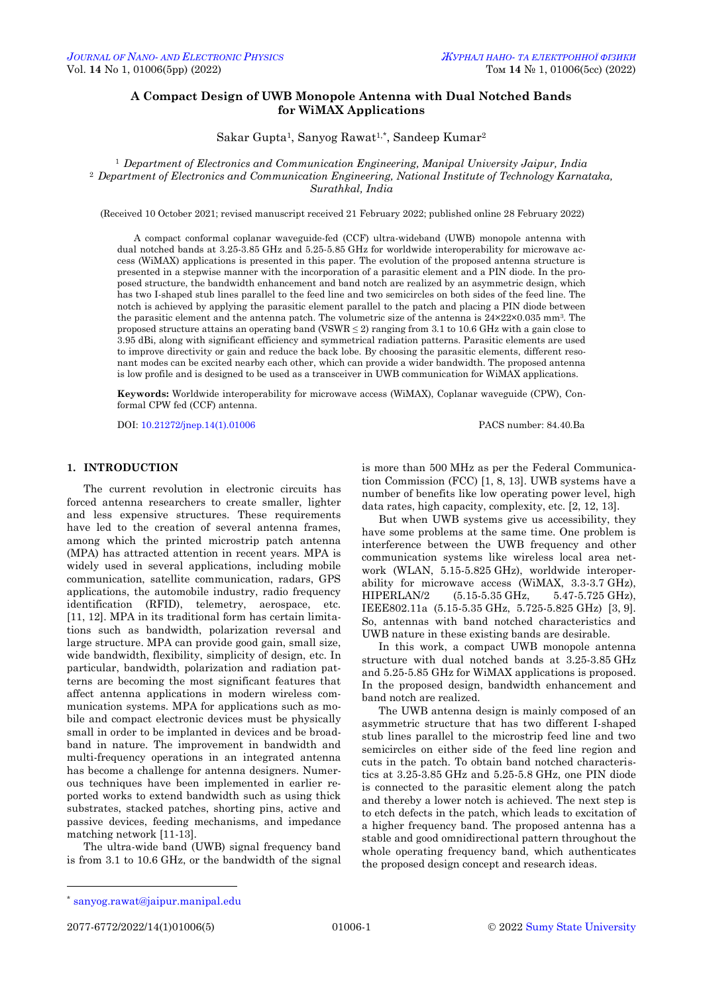# **A Compact Design of UWB Monopole Antenna with Dual Notched Bands for WiMAX Applications**

Sakar Gupta1, Sanyog Rawat1,\* , Sandeep Kumar<sup>2</sup>

<sup>1</sup> *Department of Electronics and Communication Engineering, Manipal University Jaipur, India* <sup>2</sup> *Department of Electronics and Communication Engineering, National Institute of Technology Karnataka, Surathkal, India*

(Received 10 October 2021; revised manuscript received 21 February 2022; published online 28 February 2022)

A compact conformal coplanar waveguide-fed (CCF) ultra-wideband (UWB) monopole antenna with dual notched bands at 3.25-3.85 GHz and 5.25-5.85 GHz for worldwide interoperability for microwave access (WiMAX) applications is presented in this paper. The evolution of the proposed antenna structure is presented in a stepwise manner with the incorporation of a parasitic element and a PIN diode. In the proposed structure, the bandwidth enhancement and band notch are realized by an asymmetric design, which has two I-shaped stub lines parallel to the feed line and two semicircles on both sides of the feed line. The notch is achieved by applying the parasitic element parallel to the patch and placing a PIN diode between the parasitic element and the antenna patch. The volumetric size of the antenna is 24×22×0.035 mm3. The proposed structure attains an operating band (VSWR  $\leq$  2) ranging from 3.1 to 10.6 GHz with a gain close to 3.95 dBi, along with significant efficiency and symmetrical radiation patterns. Parasitic elements are used to improve directivity or gain and reduce the back lobe. By choosing the parasitic elements, different resonant modes can be excited nearby each other, which can provide a wider bandwidth. The proposed antenna is low profile and is designed to be used as a transceiver in UWB communication for WiMAX applications.

**Keywords:** Worldwide interoperability for microwave access (WiMAX), Coplanar waveguide (CPW), Conformal CPW fed (CCF) antenna.

DOI[: 10.21272/jnep.14\(1\).01006](https://doi.org/10.21272/jnep.14(1).01006) PACS number: 84.40.Ba

## **1. INTRODUCTION**

The current revolution in electronic circuits has forced antenna researchers to create smaller, lighter and less expensive structures. These requirements have led to the creation of several antenna frames, among which the printed microstrip patch antenna (MPA) has attracted attention in recent years. MPA is widely used in several applications, including mobile communication, satellite communication, radars, GPS applications, the automobile industry, radio frequency identification (RFID), telemetry, aerospace, etc. [11, 12]. MPA in its traditional form has certain limitations such as bandwidth, polarization reversal and large structure. MPA can provide good gain, small size, wide bandwidth, flexibility, simplicity of design, etc. In particular, bandwidth, polarization and radiation patterns are becoming the most significant features that affect antenna applications in modern wireless communication systems. MPA for applications such as mobile and compact electronic devices must be physically small in order to be implanted in devices and be broadband in nature. The improvement in bandwidth and multi-frequency operations in an integrated antenna has become a challenge for antenna designers. Numerous techniques have been implemented in earlier reported works to extend bandwidth such as using thick substrates, stacked patches, shorting pins, active and passive devices, feeding mechanisms, and impedance matching network [11-13].

The ultra-wide band (UWB) signal frequency band is from 3.1 to 10.6 GHz, or the bandwidth of the signal is more than 500 MHz as per the Federal Communication Commission (FCC) [1, 8, 13]. UWB systems have a number of benefits like low operating power level, high data rates, high capacity, complexity, etc. [2, 12, 13].

But when UWB systems give us accessibility, they have some problems at the same time. One problem is interference between the UWB frequency and other communication systems like wireless local area network (WLAN, 5.15-5.825 GHz), worldwide interoperability for microwave access (WiMAX, 3.3-3.7 GHz), HIPERLAN/2 (5.15-5.35 GHz, 5.47-5.725 GHz), IEEE802.11a (5.15-5.35 GHz, 5.725-5.825 GHz) [3, 9]. So, antennas with band notched characteristics and UWB nature in these existing bands are desirable.

In this work, a compact UWB monopole antenna structure with dual notched bands at 3.25-3.85 GHz and 5.25-5.85 GHz for WiMAX applications is proposed. In the proposed design, bandwidth enhancement and band notch are realized.

The UWB antenna design is mainly composed of an asymmetric structure that has two different I-shaped stub lines parallel to the microstrip feed line and two semicircles on either side of the feed line region and cuts in the patch. To obtain band notched characteristics at 3.25-3.85 GHz and 5.25-5.8 GHz, one PIN diode is connected to the parasitic element along the patch and thereby a lower notch is achieved. The next step is to etch defects in the patch, which leads to excitation of a higher frequency band. The proposed antenna has a stable and good omnidirectional pattern throughout the whole operating frequency band, which authenticates the proposed design concept and research ideas.

<span id="page-0-3"></span><span id="page-0-2"></span><span id="page-0-1"></span><span id="page-0-0"></span>

-

<sup>\*</sup> [sanyog.rawat@jaipur.manipal.edu](mailto:sanyog.rawat@jaipur.manipal.edu)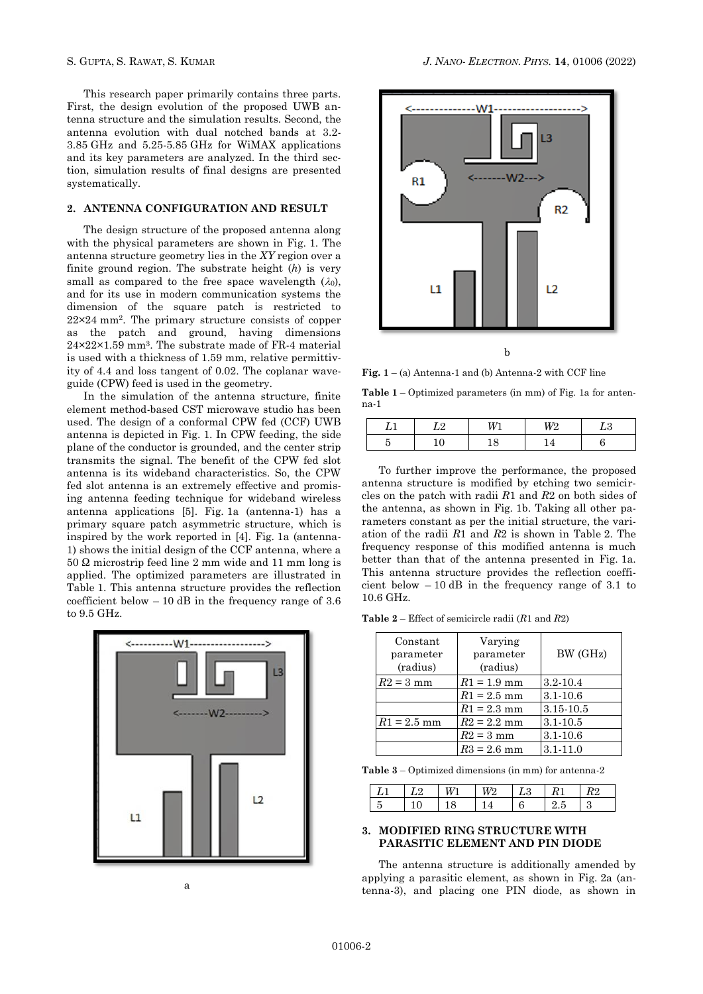This research paper primarily contains three parts. First, the design evolution of the proposed UWB antenna structure and the simulation results. Second, the antenna evolution with dual notched bands at 3.2- 3.85 GHz and 5.25-5.85 GHz for WiMAX applications and its key parameters are analyzed. In the third section, simulation results of final designs are presented systematically.

## **2. ANTENNA CONFIGURATION AND RESULT**

The design structure of the proposed antenna along with the physical parameters are shown in Fig. 1. The antenna structure geometry lies in the *XY* region over a finite ground region. The substrate height (*h*) is very small as compared to the free space wavelength  $(\lambda_0)$ , and for its use in modern communication systems the dimension of the square patch is restricted to 22×24 mm<sup>2</sup> . The primary structure consists of copper as the patch and ground, having dimensions 24×22×1.59 mm<sup>3</sup> . The substrate made of FR-4 material is used with a thickness of 1.59 mm, relative permittivity of 4.4 and loss tangent of 0.02. The coplanar waveguide (CPW) feed is used in the geometry.

In the simulation of the antenna structure, finite element method-based CST microwave studio has been used. The design of a conformal CPW fed (CCF) UWB antenna is depicted in Fig. 1. In CPW feeding, the side plane of the conductor is grounded, and the center strip transmits the signal. The benefit of the CPW fed slot antenna is its wideband characteristics. So, the CPW fed slot antenna is an extremely effective and promising antenna feeding technique for wideband wireless antenna applications [5]. Fig. 1a (antenna-1) has a primary square patch asymmetric structure, which is inspired by the work reported in [4]. Fig. 1a (antenna-1) shows the initial design of the CCF antenna, where a 50 Ω microstrip feed line 2 mm wide and 11 mm long is applied. The optimized parameters are illustrated in Table 1. This antenna structure provides the reflection coefficient below  $-10$  dB in the frequency range of 3.6 to 9.5 GHz.



a



**Fig. 1** – (a) Antenna-1 and (b) Antenna-2 with CCF line

**Table 1** – Optimized parameters (in mm) of Fig. 1a for antenna-1

| -- | — | 72 |  |
|----|---|----|--|
|    |   |    |  |

To further improve the performance, the proposed antenna structure is modified by etching two semicircles on the patch with radii *R*1 and *R*2 on both sides of the antenna, as shown in Fig. 1b. Taking all other parameters constant as per the initial structure, the variation of the radii *R*1 and *R*2 is shown in Table 2. The frequency response of this modified antenna is much better than that of the antenna presented in Fig. 1a. This antenna structure provides the reflection coefficient below  $-10$  dB in the frequency range of 3.1 to 10.6 GHz.

**Table 2** – Effect of semicircle radii (*R*1 and *R*2)

| Constant<br>parameter<br>(radius) | Varying<br>parameter<br>(radius) | BW (GHz)      |
|-----------------------------------|----------------------------------|---------------|
| $R2 = 3$ mm                       | $R1 = 1.9$ mm                    | $3.2 - 10.4$  |
|                                   | $R1 = 2.5$ mm                    | $3.1 - 10.6$  |
|                                   | $R1 = 2.3$ mm                    | $3.15 - 10.5$ |
| $R1 = 2.5$ mm                     | $R2 = 2.2$ mm                    | $3.1 - 10.5$  |
|                                   | $R2 = 3$ mm                      | $3.1 - 10.6$  |
|                                   | $R3 = 2.6$ mm                    | $3.1 - 11.0$  |

**Table 3** – Optimized dimensions (in mm) for antenna-2

|  | l M | $\perp$ $L3 \perp R$ |  |
|--|-----|----------------------|--|
|  |     |                      |  |

# **3. MODIFIED RING STRUCTURE WITH PARASITIC ELEMENT AND PIN DIODE**

The antenna structure is additionally amended by applying a parasitic element, as shown in Fig. 2a (antenna-3), and placing one PIN diode, as shown in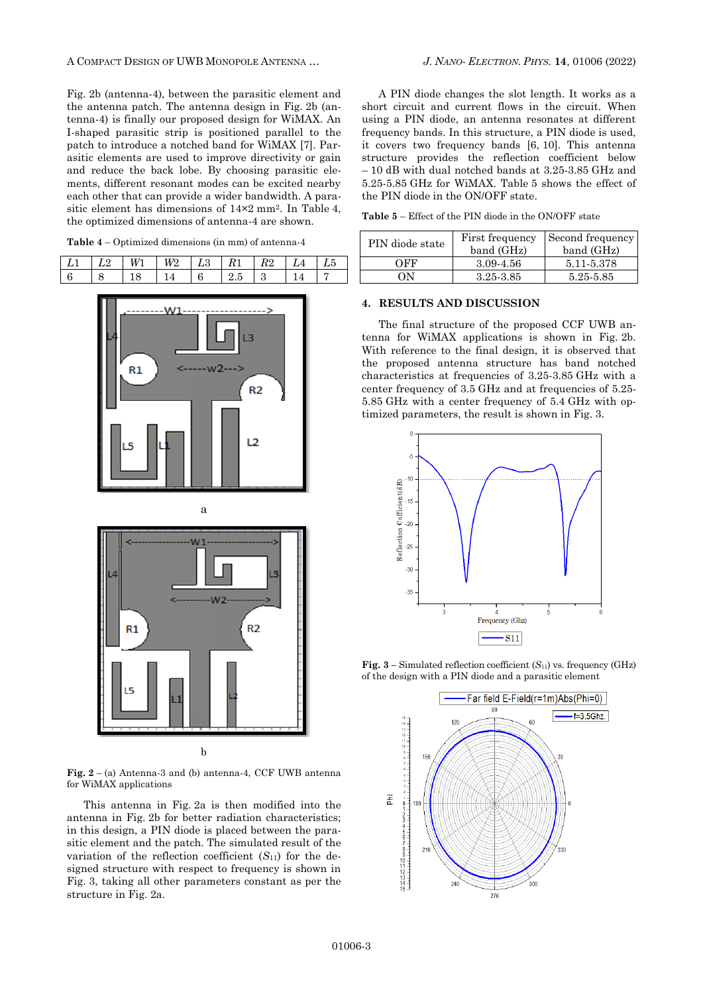A COMPACT DESIGN OF UWB MONOPOLE ANTENNA … *J. NANO- ELECTRON. PHYS.* **[14](#page-0-2)**, [01006](#page-0-2) [\(2022\)](#page-0-2)

Fig. 2b (antenna-4), between the parasitic element and the antenna patch. The antenna design in Fig. 2b (antenna-4) is finally our proposed design for WiMAX. An I-shaped parasitic strip is positioned parallel to the patch to introduce a notched band for WiMAX [7]. Parasitic elements are used to improve directivity or gain and reduce the back lobe. By choosing parasitic elements, different resonant modes can be excited nearby each other that can provide a wider bandwidth. A parasitic element has dimensions of 14×2 mm<sup>2</sup> . In Table 4, the optimized dimensions of antenna-4 are shown.

**Table 4** – Optimized dimensions (in mm) of antenna-4

|  | W | W? | - | $\kappa$ | 1 L 4 | L4 | LΟ |
|--|---|----|---|----------|-------|----|----|
|  |   |    |   |          |       |    |    |





**Fig. 2** – (a) Antenna-3 and (b) antenna-4, CCF UWB antenna for WiMAX applications

This antenna in Fig. 2a is then modified into the antenna in Fig. 2b for better radiation characteristics; in this design, a PIN diode is placed between the parasitic element and the patch. The simulated result of the variation of the reflection coefficient  $(S_{11})$  for the designed structure with respect to frequency is shown in Fig. 3, taking all other parameters constant as per the structure in Fig. 2a.

A PIN diode changes the slot length. It works as a short circuit and current flows in the circuit. When using a PIN diode, an antenna resonates at different frequency bands. In this structure, a PIN diode is used, it covers two frequency bands [6, 10]. This antenna structure provides the reflection coefficient below – 10 dB with dual notched bands at 3.25-3.85 GHz and 5.25-5.85 GHz for WiMAX. Table 5 shows the effect of the PIN diode in the ON/OFF state.

**Table 5** – Effect of the PIN diode in the ON/OFF state

| PIN diode state | First frequency<br>band (GHz) | Second frequency<br>band (GHz) |
|-----------------|-------------------------------|--------------------------------|
| OFF             | 3.09-4.56                     | 5.11-5.378                     |
| OΝ              | 3.25-3.85                     | 5.25-5.85                      |

# **4. RESULTS AND DISCUSSION**

The final structure of the proposed CCF UWB antenna for WiMAX applications is shown in Fig. 2b. With reference to the final design, it is observed that the proposed antenna structure has band notched characteristics at frequencies of 3.25-3.85 GHz with a center frequency of 3.5 GHz and at frequencies of 5.25- 5.85 GHz with a center frequency of 5.4 GHz with optimized parameters, the result is shown in Fig. 3.



**Fig.**  $3$  – Simulated reflection coefficient  $(S_{11})$  vs. frequency (GHz) of the design with a PIN diode and a parasitic element

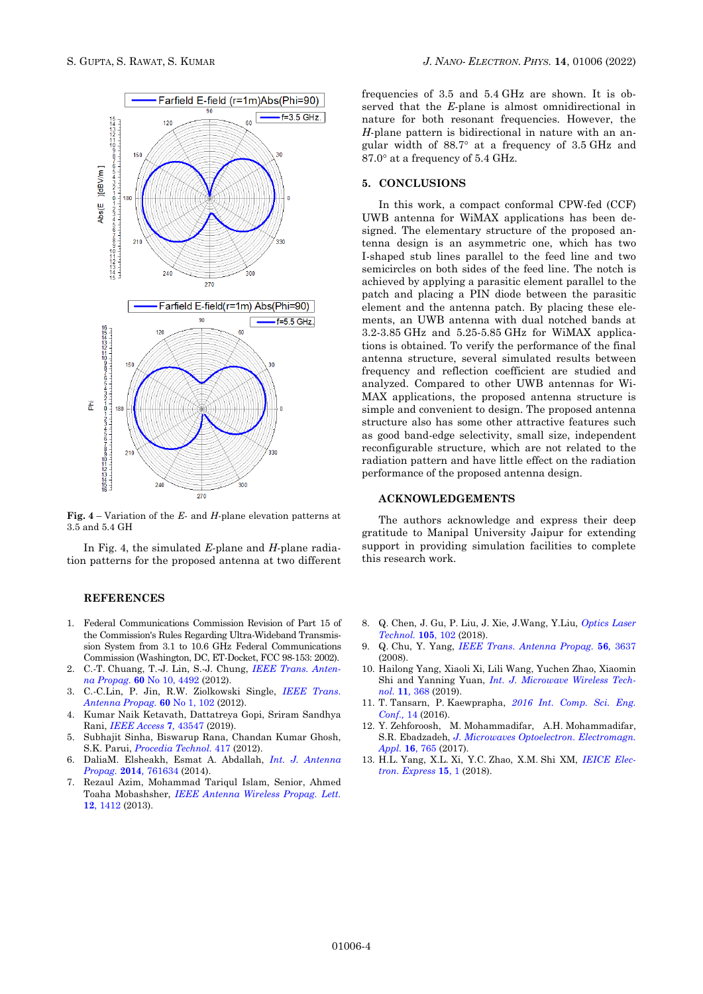

**Fig. 4** – Variation of the *E*- and *H*-plane elevation patterns at 3.5 and 5.4 GH

In Fig. 4, the simulated *E*-plane and *H*-plane radiation patterns for the proposed antenna at two different

#### **REFERENCES**

- 1. Federal Communications Commission Revision of Part 15 of the Commission's Rules Regarding Ultra-Wideband Transmission System from 3.1 to 10.6 GHz Federal Communications Commission (Washington, DC, ET-Docket, FCC 98-153: 2002).
- 2. C.-T. Chuang, T.-J. Lin, S.-J. Chung, *[IEEE Trans.](https://doi.org/10.1109/TAP.2012.2207327) Anten[na Propag.](https://doi.org/10.1109/TAP.2012.2207327)* **60** No 10, 4492 (2012).
- 3. C.-C.Lin, P. Jin, R.W. Ziolkowski Single, *[IEEE Trans.](https://doi.org/10.1109/TAP.2011.2167947) [Antenna Propag.](https://doi.org/10.1109/TAP.2011.2167947)* **60** No 1, 102 (2012).
- 4. Kumar Naik Ketavath, Dattatreya Gopi, Sriram Sandhya Rani, *[IEEE Access](https://doi.org/10.1109/ACCESS.2019.2905661)* **7***,* 43547 (2019).
- 5. Subhajit Sinha, Biswarup Rana, Chandan Kumar Ghosh, S.K. Parui, *[Procedia Technol.](https://doi.org/10.1016/j.protcy.2012.05.065)* 417 (2012).
- 6. DaliaM. Elsheakh, Esmat A. Abdallah, *Int. J. [Antenna](https://doi.org/10.1155/2014/761634)  [Propag.](https://doi.org/10.1155/2014/761634)* **2014***,* 761634 (2014).
- 7. Rezaul Azim, Mohammad Tariqul Islam, Senior, Ahmed Toaha Mobashsher, *[IEEE Antenna Wireless Propag.](https://doi.org/10.1109/LAWP.2013.2288370) Lett.* **12**, [1412](https://doi.org/10.1109/LAWP.2013.2288370) (2013).

frequencies of 3.5 and 5.4 GHz are shown. It is observed that the *E*-plane is almost omnidirectional in nature for both resonant frequencies. However, the *H*-plane pattern is bidirectional in nature with an angular width of  $88.7^\circ$  at a frequency of  $3.5$  GHz and  $87.0^\circ$  at a frequency of 5.4 GHz.

### **5. CONCLUSIONS**

In this work, a compact conformal CPW-fed (CCF) UWB antenna for WiMAX applications has been designed. The elementary structure of the proposed antenna design is an asymmetric one, which has two I-shaped stub lines parallel to the feed line and two semicircles on both sides of the feed line. The notch is achieved by applying a parasitic element parallel to the patch and placing a PIN diode between the parasitic element and the antenna patch. By placing these elements, an UWB antenna with dual notched bands at 3.2-3.85 GHz and 5.25-5.85 GHz for WiMAX applications is obtained. To verify the performance of the final antenna structure, several simulated results between frequency and reflection coefficient are studied and analyzed. Compared to other UWB antennas for Wi-MAX applications, the proposed antenna structure is simple and convenient to design. The proposed antenna structure also has some other attractive features such as good band-edge selectivity, small size, independent reconfigurable structure, which are not related to the radiation pattern and have little effect on the radiation performance of the proposed antenna design.

# **ACKNOWLEDGEMENTS**

The authors acknowledge and express their deep gratitude to Manipal University Jaipur for extending support in providing simulation facilities to complete this research work.

- 8. Q. Chen, J. Gu, P. Liu, J. Xie, J.Wang, Y.Liu, *[Optics Laser](https://doi.org/10.1016/j.optlastec.2018.02.049)  [Technol.](https://doi.org/10.1016/j.optlastec.2018.02.049)* **105**, 102 (2018).
- 9. Q. Chu, Y. Yang, *IEEE Trans. [Antenna Propag.](https://doi.org/10.1109/TAP.2008.2007368)* **56***,* 3637 (2008).
- 10. Hailong Yang, Xiaoli Xi, Lili Wang, Yuchen Zhao, Xiaomin Shi and Yanning Yuan, *Int. J. [Microwave Wireless Tech](https://doi.org/10.1017/S1759078718001587)[nol.](https://doi.org/10.1017/S1759078718001587)* **11***,* 368 (2019).
- 11. T. Tansarn, P. Kaewprapha, *[2016 Int.](https://doi.org/10.1109/ICSEC.2016.7859907) Comp. Sci. Eng. [Conf.,](https://doi.org/10.1109/ICSEC.2016.7859907)* 14 (2016).
- 12. Y. Zehforoosh, M. Mohammadifar, A.H. Mohammadifar, S.R. Ebadzadeh, *J. Microwaves Optoelectron. [Electromagn.](https://doi.org/10.1590/2179-10742017v16i3915) [Appl.](https://doi.org/10.1590/2179-10742017v16i3915)* **16**, 765 (2017).
- 13. H.L. Yang, X.L. Xi, Y.C. Zhao, X.M. Shi XM, *[IEICE Elec](https://doi.org/10.1587/elex.15.20180458)tron. [Express](https://doi.org/10.1587/elex.15.20180458)* **15**, 1 (2018).